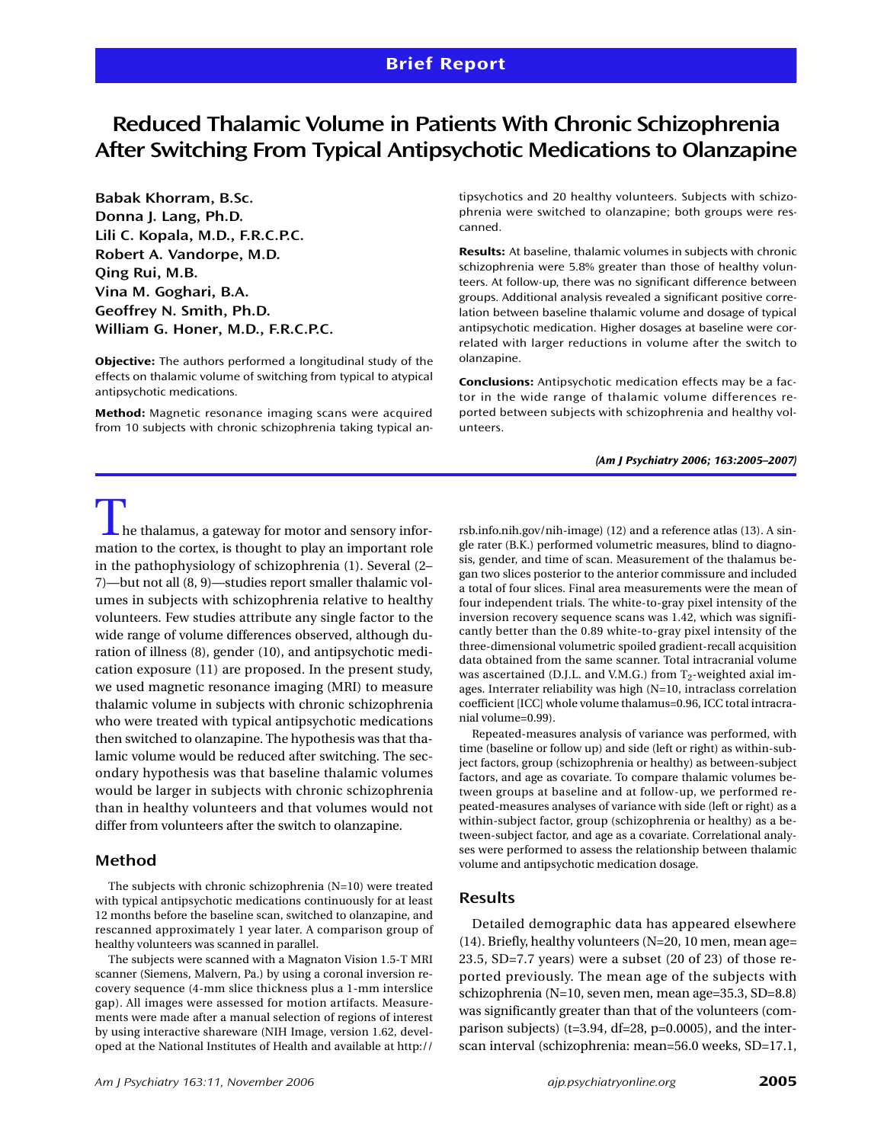# **Reduced Thalamic Volume in Patients With Chronic Schizophrenia After Switching From Typical Antipsychotic Medications to Olanzapine**

**Babak Khorram, B.Sc. Donna J. Lang, Ph.D. Lili C. Kopala, M.D., F.R.C.P.C. Robert A. Vandorpe, M.D. Qing Rui, M.B. Vina M. Goghari, B.A. Geoffrey N. Smith, Ph.D. William G. Honer, M.D., F.R.C.P.C.**

**Objective:** The authors performed a longitudinal study of the effects on thalamic volume of switching from typical to atypical antipsychotic medications.

**Method:** Magnetic resonance imaging scans were acquired from 10 subjects with chronic schizophrenia taking typical antipsychotics and 20 healthy volunteers. Subjects with schizophrenia were switched to olanzapine; both groups were rescanned.

**Results:** At baseline, thalamic volumes in subjects with chronic schizophrenia were 5.8% greater than those of healthy volunteers. At follow-up, there was no significant difference between groups. Additional analysis revealed a significant positive correlation between baseline thalamic volume and dosage of typical antipsychotic medication. Higher dosages at baseline were correlated with larger reductions in volume after the switch to olanzapine.

**Conclusions:** Antipsychotic medication effects may be a factor in the wide range of thalamic volume differences reported between subjects with schizophrenia and healthy volunteers.

*(Am J Psychiatry 2006; 163:2005–2007)*

 $\mathsf{\mathsf{L}}$  he thalamus, a gateway for motor and sensory information to the cortex, is thought to play an important role in the pathophysiology of schizophrenia (1). Several (2– 7)—but not all (8, 9)—studies report smaller thalamic volumes in subjects with schizophrenia relative to healthy volunteers. Few studies attribute any single factor to the wide range of volume differences observed, although duration of illness (8), gender (10), and antipsychotic medication exposure (11) are proposed. In the present study, we used magnetic resonance imaging (MRI) to measure thalamic volume in subjects with chronic schizophrenia who were treated with typical antipsychotic medications then switched to olanzapine. The hypothesis was that thalamic volume would be reduced after switching. The secondary hypothesis was that baseline thalamic volumes would be larger in subjects with chronic schizophrenia than in healthy volunteers and that volumes would not differ from volunteers after the switch to olanzapine.

### **Method**

The subjects with chronic schizophrenia (N=10) were treated with typical antipsychotic medications continuously for at least 12 months before the baseline scan, switched to olanzapine, and rescanned approximately 1 year later. A comparison group of healthy volunteers was scanned in parallel.

The subjects were scanned with a Magnaton Vision 1.5-T MRI scanner (Siemens, Malvern, Pa.) by using a coronal inversion recovery sequence (4-mm slice thickness plus a 1-mm interslice gap). All images were assessed for motion artifacts. Measurements were made after a manual selection of regions of interest by using interactive shareware (NIH Image, version 1.62, developed at the National Institutes of Health and available at http://

*Am J Psychiatry 163:11, November 2006 ajp.psychiatryonline.org* **2005**

rsb.info.nih.gov/nih-image) (12) and a reference atlas (13). A single rater (B.K.) performed volumetric measures, blind to diagnosis, gender, and time of scan. Measurement of the thalamus began two slices posterior to the anterior commissure and included a total of four slices. Final area measurements were the mean of four independent trials. The white-to-gray pixel intensity of the inversion recovery sequence scans was 1.42, which was significantly better than the 0.89 white-to-gray pixel intensity of the three-dimensional volumetric spoiled gradient-recall acquisition data obtained from the same scanner. Total intracranial volume was ascertained (D.J.L. and V.M.G.) from T<sub>2</sub>-weighted axial images. Interrater reliability was high (N=10, intraclass correlation coefficient [ICC] whole volume thalamus=0.96, ICC total intracranial volume=0.99).

Repeated-measures analysis of variance was performed, with time (baseline or follow up) and side (left or right) as within-subject factors, group (schizophrenia or healthy) as between-subject factors, and age as covariate. To compare thalamic volumes between groups at baseline and at follow-up, we performed repeated-measures analyses of variance with side (left or right) as a within-subject factor, group (schizophrenia or healthy) as a between-subject factor, and age as a covariate. Correlational analyses were performed to assess the relationship between thalamic volume and antipsychotic medication dosage.

## **Results**

Detailed demographic data has appeared elsewhere (14). Briefly, healthy volunteers (N=20, 10 men, mean age= 23.5, SD=7.7 years) were a subset (20 of 23) of those reported previously. The mean age of the subjects with schizophrenia (N=10, seven men, mean age=35.3, SD=8.8) was significantly greater than that of the volunteers (comparison subjects) ( $t=3.94$ ,  $df=28$ ,  $p=0.0005$ ), and the interscan interval (schizophrenia: mean=56.0 weeks, SD=17.1,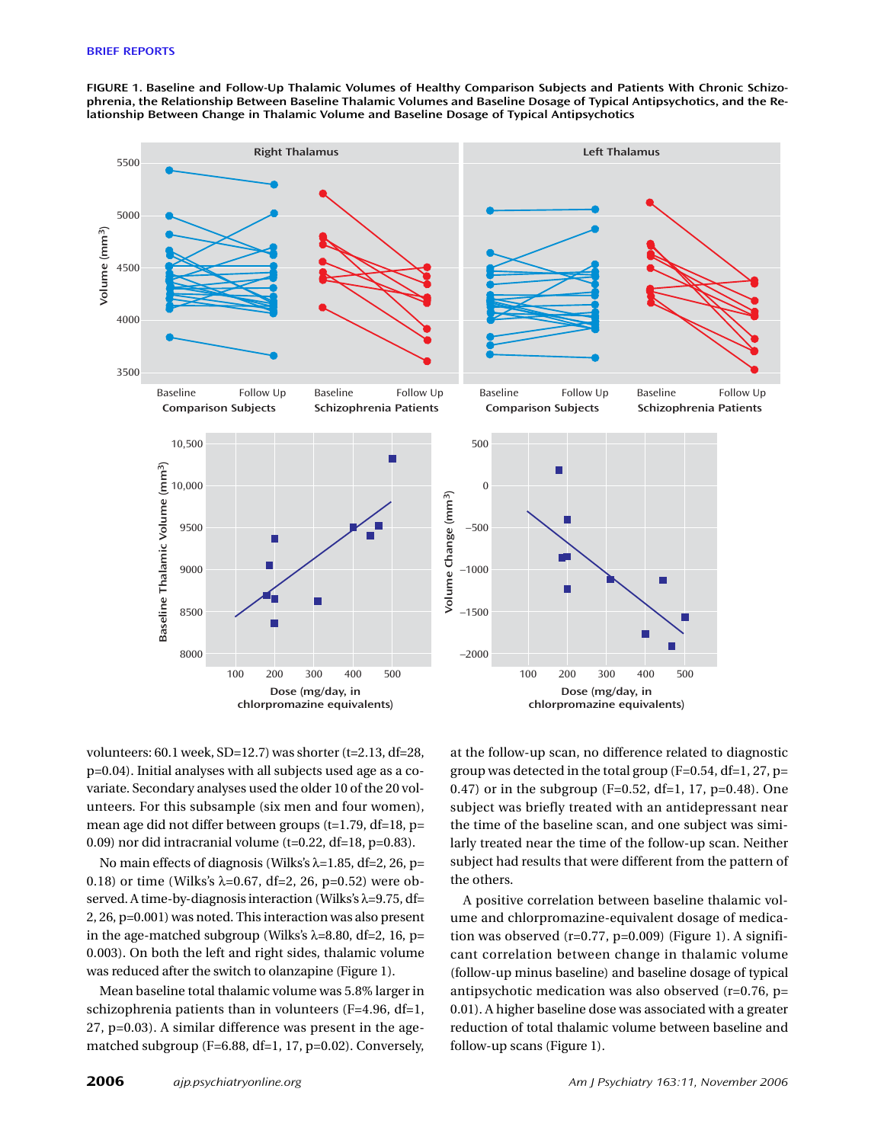**FIGURE 1. Baseline and Follow-Up Thalamic Volumes of Healthy Comparison Subjects and Patients With Chronic Schizophrenia, the Relationship Between Baseline Thalamic Volumes and Baseline Dosage of Typical Antipsychotics, and the Relationship Between Change in Thalamic Volume and Baseline Dosage of Typical Antipsychotics**



volunteers: 60.1 week, SD=12.7) was shorter (t=2.13, df=28, p=0.04). Initial analyses with all subjects used age as a covariate. Secondary analyses used the older 10 of the 20 volunteers. For this subsample (six men and four women), mean age did not differ between groups (t=1.79, df=18, p= 0.09) nor did intracranial volume (t=0.22, df=18, p=0.83).

No main effects of diagnosis (Wilks's  $\lambda$ =1.85, df=2, 26, p= 0.18) or time (Wilks's  $λ=0.67$ , df=2, 26, p=0.52) were observed. A time-by-diagnosis interaction (Wilks's λ=9.75, df= 2, 26, p=0.001) was noted. This interaction was also present in the age-matched subgroup (Wilks's  $\lambda$ =8.80, df=2, 16, p= 0.003). On both the left and right sides, thalamic volume was reduced after the switch to olanzapine (Figure 1).

Mean baseline total thalamic volume was 5.8% larger in schizophrenia patients than in volunteers (F=4.96, df=1, 27, p=0.03). A similar difference was present in the agematched subgroup (F=6.88, df=1, 17, p=0.02). Conversely,

at the follow-up scan, no difference related to diagnostic group was detected in the total group  $(F=0.54, df=1, 27, p=$ 0.47) or in the subgroup ( $F=0.52$ , df=1, 17, p=0.48). One subject was briefly treated with an antidepressant near the time of the baseline scan, and one subject was similarly treated near the time of the follow-up scan. Neither subject had results that were different from the pattern of the others.

A positive correlation between baseline thalamic volume and chlorpromazine-equivalent dosage of medication was observed  $(r=0.77, p=0.009)$  (Figure 1). A significant correlation between change in thalamic volume (follow-up minus baseline) and baseline dosage of typical antipsychotic medication was also observed (r=0.76, p= 0.01). A higher baseline dose was associated with a greater reduction of total thalamic volume between baseline and follow-up scans (Figure 1).